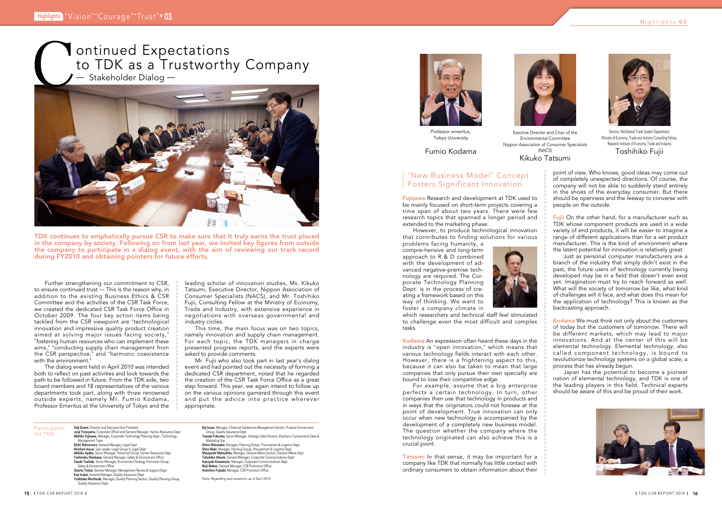



point of view. Who knows, good ideas may come out of completely unexpected directions. Of course, the company will not be able to suddenly stand entirely in the shoes of the everyday consumer. But there should be openness and the leeway to converse with people on the outside.

**Fujii** On the other hand, for a manufacturer such as TDK whose component products are used in a wide variety of end products, it will be easier to imagine a range of different applications than for a set product manufacturer. This is the kind of environment where the latent potential for innovation is relatively great.

Kodama We must think not only about the customers of today but the customers of tomorrow. There will be different markets, which may lead to major innovations. And at the center of this will be elemental technology. Elemental technology, also called component technology, is bound to revolutionize technology systems on a global scale, a process that has already begun.

Just as personal computer manufacturers are a branch of the industry that simply didn't exist in the past, the future users of technology currently being developed may be in a field that doesn't even exist yet. Imagination must try to reach forward as well. What will the society of tomorrow be like, what kind of challenges will it face, and what does this mean for the application of technology? This is known as the backcasting approach.

Further strengthening our commitment to CSR, to ensure continued trust ̶ This is the reason why, in addition to the existing Business Ethics & CSR Committee and the activities of the CSR Task Force, we created the dedicated CSR Task Force Office in October 2009. The four key action items being tackled from the CSR viewpoint are "technological innovation and impressive quality product creation aimed at solving major issues facing society," "fostering human resources who can implement these aims," "conducting supply chain management from the CSR perspective," and "harmonic coexistence with the environment."

> Japan has the potential to become a pioneer nation of elemental technology, and TDK is one of the leading players in this field. Technical experts should be aware of this and be proud of their work.



Fujisawa Research and development at TDK used to be mainly focused on short-term projects covering a time span of about two years. There were few research topics that spanned a longer period and extended to the marketing phase.

However, to produce technological innovation that contributes to finding solutions for various

leading scholar of innovation studies, Ms. Kikuko Tatsumi, Executive Director, Nippon Association of Consumer Specialists (NACS), and Mr. Toshihiko Fujii, Consulting Fellow at the Ministry of Economy, Trade and Industry, with extensive experience in negotiations with overseas governmental and industry circles.

Participants for TDK

**Seiji Enami**, Director and Executive Vice President<br>**Junji Yoneyama,** Corporate Officer and General Manager, Human Resources Dept.

Akihiko Fujisawa, Manager, Corporate Technology Planning Dept., Technology Management Team **Eiichi Shimomura**, General Manager, Legal Dept.<br>**Hirofumi Inoue**, Sub Leader, Legal Group II, Legal Dept.

This time, the main focus was on two topics, namely innovation and supply chain management. For each topic, the TDK managers in charge presented progress reports, and the experts were asked to provide comments.

**Akihiko Ayabe**, Senior Manager, Personnel Group, Human Resources Dept.<br>**Toshinobu Shiokawa**, General Manager, Safety & Environment Office<br>**Yasuki Yoshida**, Senior Manager, Environment Strategy Promotion Group, Safety & Environment Office Osamu Yotsui, General Manager, Management Review & Support Dept.

Yasuaki Fukuoka, Senior Manager, Strategic Sales Division, Electronic Components Sales & Marketing Grp

Mr. Fujii who also took part in last year's dialog event and had pointed out the necessity of forming a dedicated CSR department, noted that he regarded the creation of the CSR Task Force Office as a great step forward. This year, we again intend to follow up on the various opinions garnered through this event and put the advice into practice wherever appropriate.

> Kimio Watanabe, Manager, Planning Group, Procurement & Logistics Dept. Shiro Maki, Manager, Planning Group, Procurement & Logistics Dept. **Masayoshi Matsushita,** Manager, General Affairs Section, General Affairs Dept.<br>**Tatsuhiko Atsumi,** General Manager, Corporate Communications Dept. **Kazuyuki Kawamoto**, Manager, Corporate Communications Dept.<br>**Reiji Nakao**, General Manager, CSR Promotion Office Kenichiro Fujisaki, Manager, CSR Promotion Office

which researchers and technical staff feel stimulated to challenge even the most difficult and complex tasks.

Tatsumi In that sense, it may be important for a company like TDK that normally has little contact with ordinary consumers to obtain information about their





The dialog event held in April 2010 was intended both to reflect on past activities and look towards the path to be followed in future. From the TDK side, two board members and 18 representatives of the various departments took part, along with three renowned outside experts, namely Mr. Fumio Kodama, Professor Emeritus at the University of Tokyo and the

TDK continues to emphatically pursue CSR to make sure that it truly earns the trust placed in the company by society. Following on from last year, we invited key figures from outside the company to participate in a dialog event, with the aim of reviewing our track record during FY2010 and obtaining pointers for future efforts.



Professor emeritus, Tokyo University

Director, Multilateral Trade System Department, Ministry of Economy, Trade and Industry Consulting Fellow, Research Institute of Economy, Trade and Industry Toshihiko Fujii

Exective Director and Chair of the Environmental Committee Nippon Association of Consumer Specialists (NACS) Kikuko Tatsumi

Koji Inukai, General Manager, Quality Assurance Dept. Yoshitaka Mochizuki, Manager, Quality Planning Section, Quality Planning Group, Quality Assurance Dept.

Eiji Inoue, Manager, Chemical Substances Management Section, Product Environment Group, Quality Assurance Dept.

Note: Regarding each positions, as of April 2010.



Kodama An expression often heard these days in the industry is "open innovation," which means that various technology fields interact with each other. However, there is a frightening aspect to this, because it can also be taken to mean that large companies that only pursue their own specialty are bound to lose their competitive edge.

For example, assume that a big enterprise perfects a certain technology. In turn, other companies then use that technology in products and in ways that the originators could not foresee at the point of development. True innovation can only occur when new technology is accompanied by the development of a completely new business model. The question whether the company where the technology originated can also achieve this is a crucial point.

problems facing humanity, a compre-hensive and long-term approach to R & D combined with the development of advanced negative-premise technology are required. The Corporate Technology Planning Dept. is in the process of creating a framework based on this way of thinking. We want to foster a company climate in



## "New Business Model" Concept Fosters Significant Innovation

Fumio Kodama